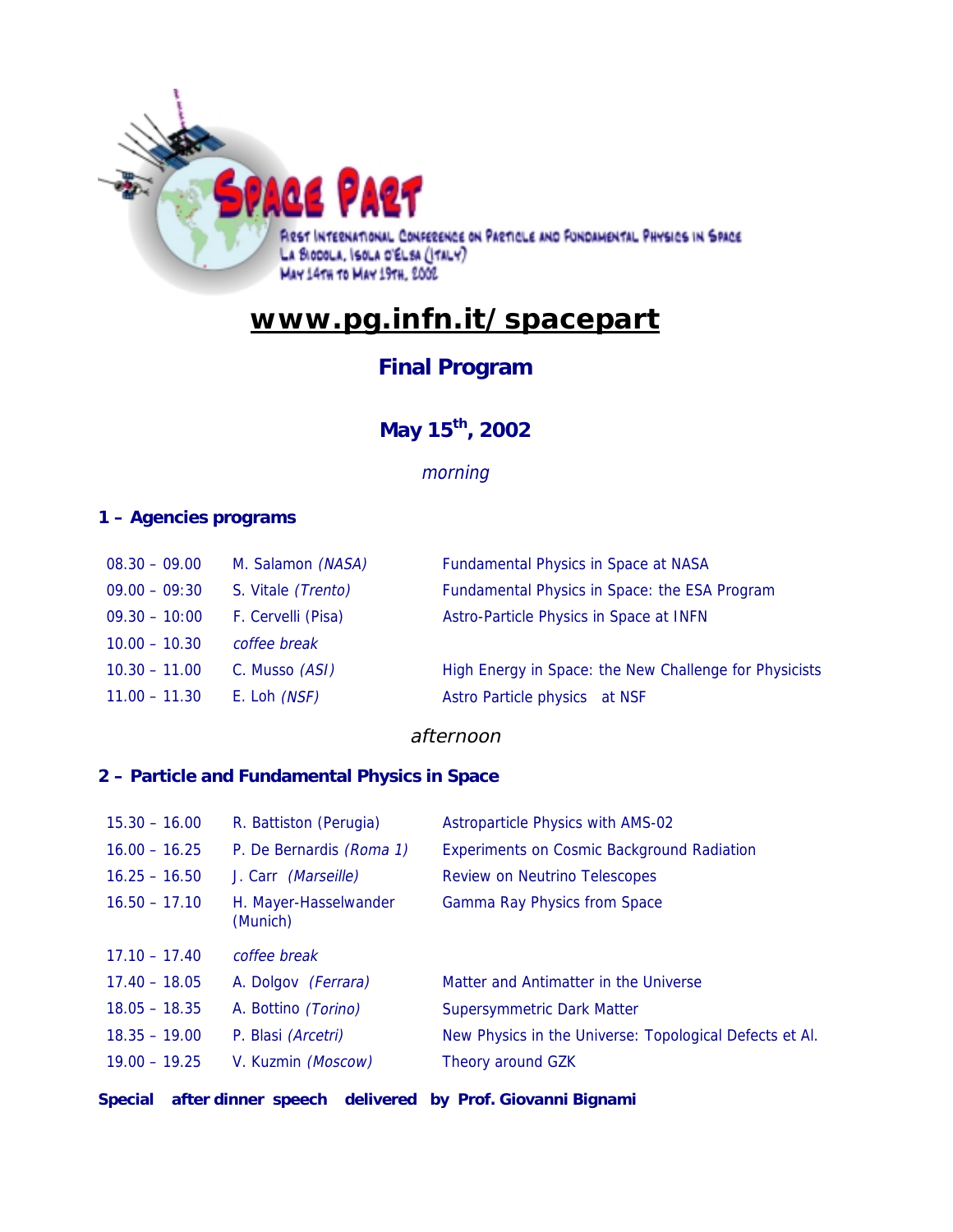

# **www.pg.infn.it/spacepart**

### **Final Program**

### **May 15th, 2002**

### morning

### **1 – Agencies programs**

| $08.30 - 09.00$ | M. Salamon (NASA)   | Fundamental Physics in Space at NASA                   |
|-----------------|---------------------|--------------------------------------------------------|
| $09.00 - 09:30$ | S. Vitale (Trento)  | Fundamental Physics in Space: the ESA Program          |
| $09.30 - 10:00$ | F. Cervelli (Pisa)  | Astro-Particle Physics in Space at INFN                |
| $10.00 - 10.30$ | coffee break        |                                                        |
| $10.30 - 11.00$ | C. Musso (ASI)      | High Energy in Space: the New Challenge for Physicists |
| $11.00 - 11.30$ | E. Loh <i>(NSF)</i> | Astro Particle physics at NSF                          |
|                 |                     |                                                        |

#### afternoon

### **2 – Particle and Fundamental Physics in Space**

| $15.30 - 16.00$ | R. Battiston (Perugia)            | Astroparticle Physics with AMS-02                       |
|-----------------|-----------------------------------|---------------------------------------------------------|
| $16.00 - 16.25$ | P. De Bernardis (Roma 1)          | <b>Experiments on Cosmic Background Radiation</b>       |
| $16.25 - 16.50$ | J. Carr <i>(Marseille)</i>        | Review on Neutrino Telescopes                           |
| $16.50 - 17.10$ | H. Mayer-Hasselwander<br>(Munich) | Gamma Ray Physics from Space                            |
| $17.10 - 17.40$ |                                   |                                                         |
|                 | coffee break                      |                                                         |
| $17.40 - 18.05$ | A. Dolgov <i>(Ferrara)</i>        | Matter and Antimatter in the Universe                   |
| $18.05 - 18.35$ | A. Bottino <i>(Torino)</i>        | <b>Supersymmetric Dark Matter</b>                       |
| $18.35 - 19.00$ | P. Blasi (Arcetri)                | New Physics in the Universe: Topological Defects et Al. |
| $19.00 - 19.25$ | V. Kuzmin (Moscow)                | Theory around GZK                                       |

**Special after dinner speech delivered by Prof. Giovanni Bignami**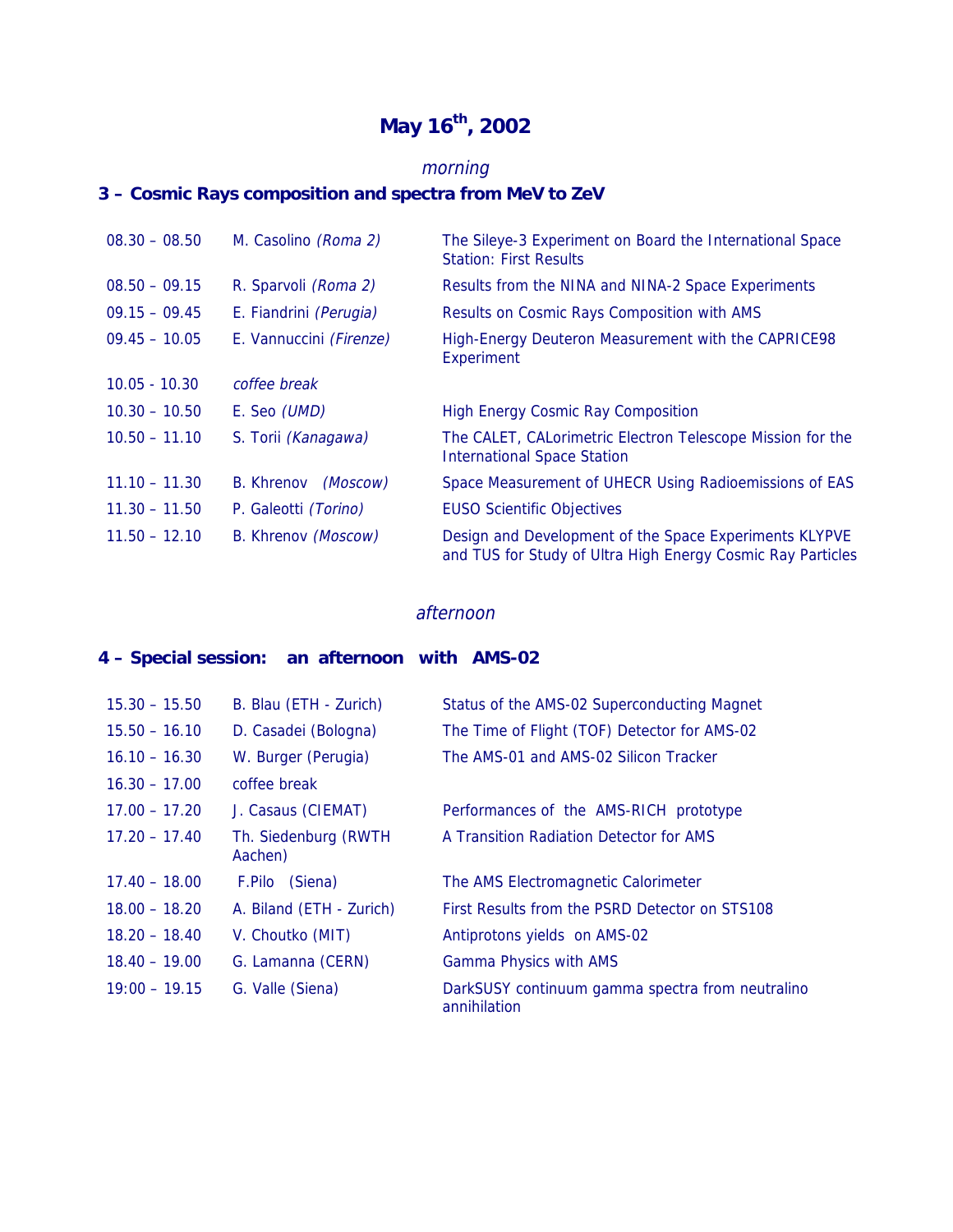## **May 16th, 2002**

### morning

### **3 – Cosmic Rays composition and spectra from MeV to ZeV**

| $08.30 - 08.50$ | M. Casolino (Roma 2)          | The Sileye-3 Experiment on Board the International Space<br><b>Station: First Results</b>                             |
|-----------------|-------------------------------|-----------------------------------------------------------------------------------------------------------------------|
| $08.50 - 09.15$ | R. Sparvoli (Roma 2)          | Results from the NINA and NINA-2 Space Experiments                                                                    |
| $09.15 - 09.45$ | E. Fiandrini (Perugia)        | Results on Cosmic Rays Composition with AMS                                                                           |
| $09.45 - 10.05$ | E. Vannuccini (Firenze)       | High-Energy Deuteron Measurement with the CAPRICE98<br>Experiment                                                     |
| $10.05 - 10.30$ | coffee break                  |                                                                                                                       |
| $10.30 - 10.50$ | E. Seo (UMD)                  | <b>High Energy Cosmic Ray Composition</b>                                                                             |
| $10.50 - 11.10$ | S. Torii (Kanagawa)           | The CALET, CALorimetric Electron Telescope Mission for the<br><b>International Space Station</b>                      |
| $11.10 - 11.30$ | (Moscow)<br><b>B.</b> Khrenov | Space Measurement of UHECR Using Radioemissions of EAS                                                                |
| $11.30 - 11.50$ | P. Galeotti (Torino)          | <b>EUSO Scientific Objectives</b>                                                                                     |
| $11.50 - 12.10$ | B. Khrenov (Moscow)           | Design and Development of the Space Experiments KLYPVE<br>and TUS for Study of Ultra High Energy Cosmic Ray Particles |

#### afternoon

### **4 – Special session: an afternoon with AMS-02**

| $15.30 - 15.50$ | B. Blau (ETH - Zurich)          | Status of the AMS-02 Superconducting Magnet                      |
|-----------------|---------------------------------|------------------------------------------------------------------|
| $15.50 - 16.10$ | D. Casadei (Bologna)            | The Time of Flight (TOF) Detector for AMS-02                     |
| $16.10 - 16.30$ | W. Burger (Perugia)             | The AMS-01 and AMS-02 Silicon Tracker                            |
| $16.30 - 17.00$ | coffee break                    |                                                                  |
| $17.00 - 17.20$ | J. Casaus (CIEMAT)              | Performances of the AMS-RICH prototype                           |
| $17.20 - 17.40$ | Th. Siedenburg (RWTH<br>Aachen) | A Transition Radiation Detector for AMS                          |
| $17.40 - 18.00$ | F.Pilo (Siena)                  | The AMS Electromagnetic Calorimeter                              |
| $18.00 - 18.20$ | A. Biland (ETH - Zurich)        | First Results from the PSRD Detector on STS108                   |
| $18.20 - 18.40$ | V. Choutko (MIT)                | Antiprotons yields on AMS-02                                     |
| $18.40 - 19.00$ | G. Lamanna (CERN)               | <b>Gamma Physics with AMS</b>                                    |
| $19:00 - 19.15$ | G. Valle (Siena)                | DarkSUSY continuum gamma spectra from neutralino<br>annihilation |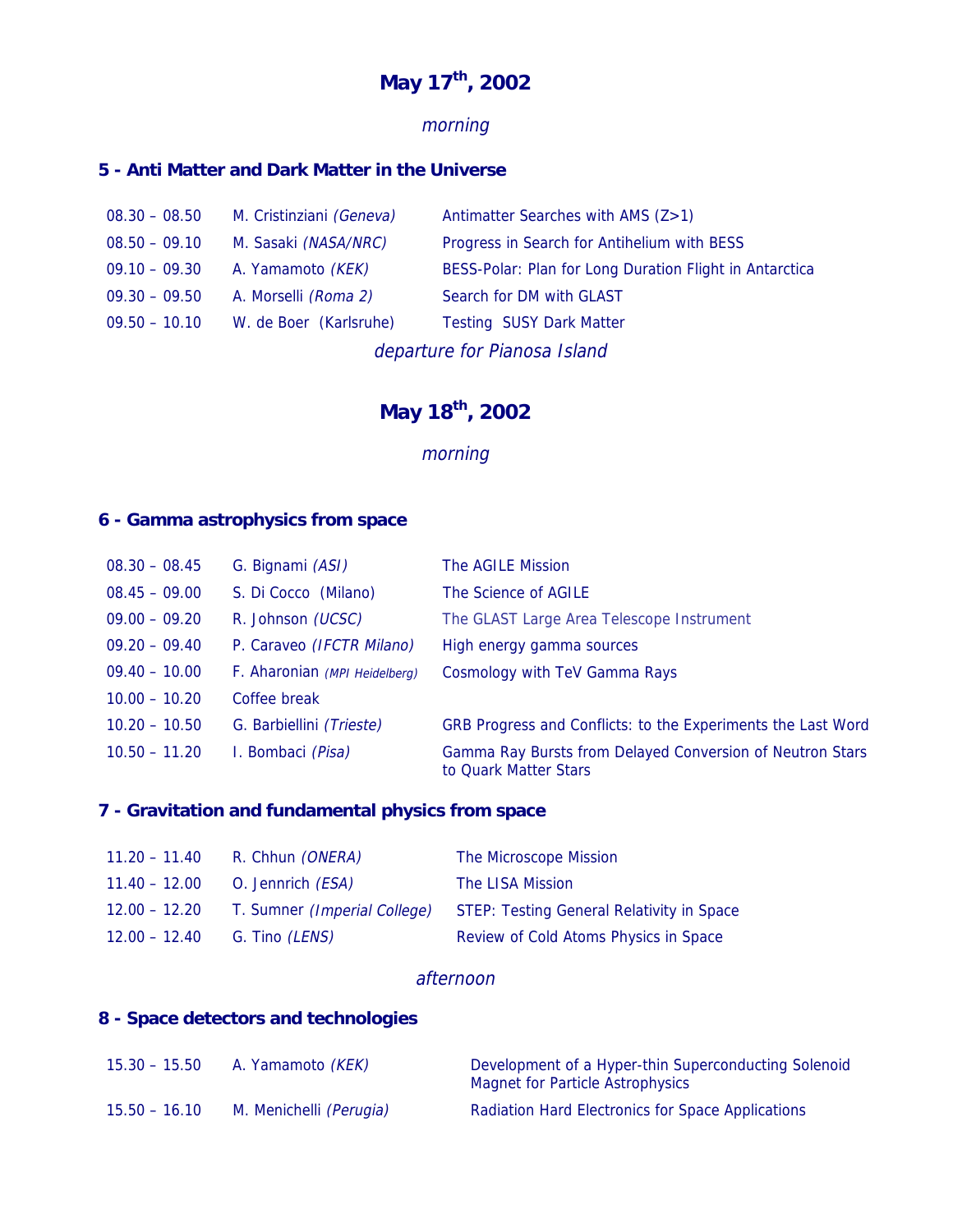## **May 17th, 2002**

### morning

### **5 - Anti Matter and Dark Matter in the Universe**

| $08.30 - 08.50$              | M. Cristinziani (Geneva) | Antimatter Searches with AMS (Z>1)                      |
|------------------------------|--------------------------|---------------------------------------------------------|
| $08.50 - 09.10$              | M. Sasaki (NASA/NRC)     | Progress in Search for Antihelium with BESS             |
| $09.10 - 09.30$              | A. Yamamoto (KEK)        | BESS-Polar: Plan for Long Duration Flight in Antarctica |
| $09.30 - 09.50$              | A. Morselli (Roma 2)     | Search for DM with GLAST                                |
| $09.50 - 10.10$              | W. de Boer (Karlsruhe)   | <b>Testing SUSY Dark Matter</b>                         |
| departure for Pianosa Island |                          |                                                         |

### **May 18th, 2002**

### morning

#### **6 - Gamma astrophysics from space**

| $08.30 - 08.45$ | G. Bignami (ASI)              | The AGILE Mission                                                                  |
|-----------------|-------------------------------|------------------------------------------------------------------------------------|
| $08.45 - 09.00$ | S. Di Cocco (Milano)          | The Science of AGILE                                                               |
| $09.00 - 09.20$ | R. Johnson (UCSC)             | The GLAST Large Area Telescope Instrument                                          |
| $09.20 - 09.40$ | P. Caraveo (IFCTR Milano)     | High energy gamma sources                                                          |
| $09.40 - 10.00$ | F. Aharonian (MPI Heidelberg) | Cosmology with TeV Gamma Rays                                                      |
| $10.00 - 10.20$ | Coffee break                  |                                                                                    |
| $10.20 - 10.50$ | G. Barbiellini (Trieste)      | GRB Progress and Conflicts: to the Experiments the Last Word                       |
| $10.50 - 11.20$ | I. Bombaci (Pisa)             | Gamma Ray Bursts from Delayed Conversion of Neutron Stars<br>to Quark Matter Stars |

### **7 - Gravitation and fundamental physics from space**

| $11.20 - 11.40$ | R. Chhun <i>(ONERA)</i>                  | The Microscope Mission                                                        |
|-----------------|------------------------------------------|-------------------------------------------------------------------------------|
|                 | 11.40 – 12.00 O. Jennrich ( <i>ESA</i> ) | The LISA Mission                                                              |
| 12.00 – 12.20   |                                          | T. Sumner <i>(Imperial College)</i> STEP: Testing General Relativity in Space |
| 12.00 - 12.40   | G. Tino <i>(LENS)</i>                    | Review of Cold Atoms Physics in Space                                         |

#### afternoon

#### **8 - Space detectors and technologies**

| $15.30 - 15.50$ | A. Yamamoto <i>(KEK)</i> | Development of a Hyper-thin Superconducting Solenoid<br>Magnet for Particle Astrophysics |
|-----------------|--------------------------|------------------------------------------------------------------------------------------|
| $15.50 - 16.10$ | M. Menichelli (Perugia)  | <b>Radiation Hard Electronics for Space Applications</b>                                 |